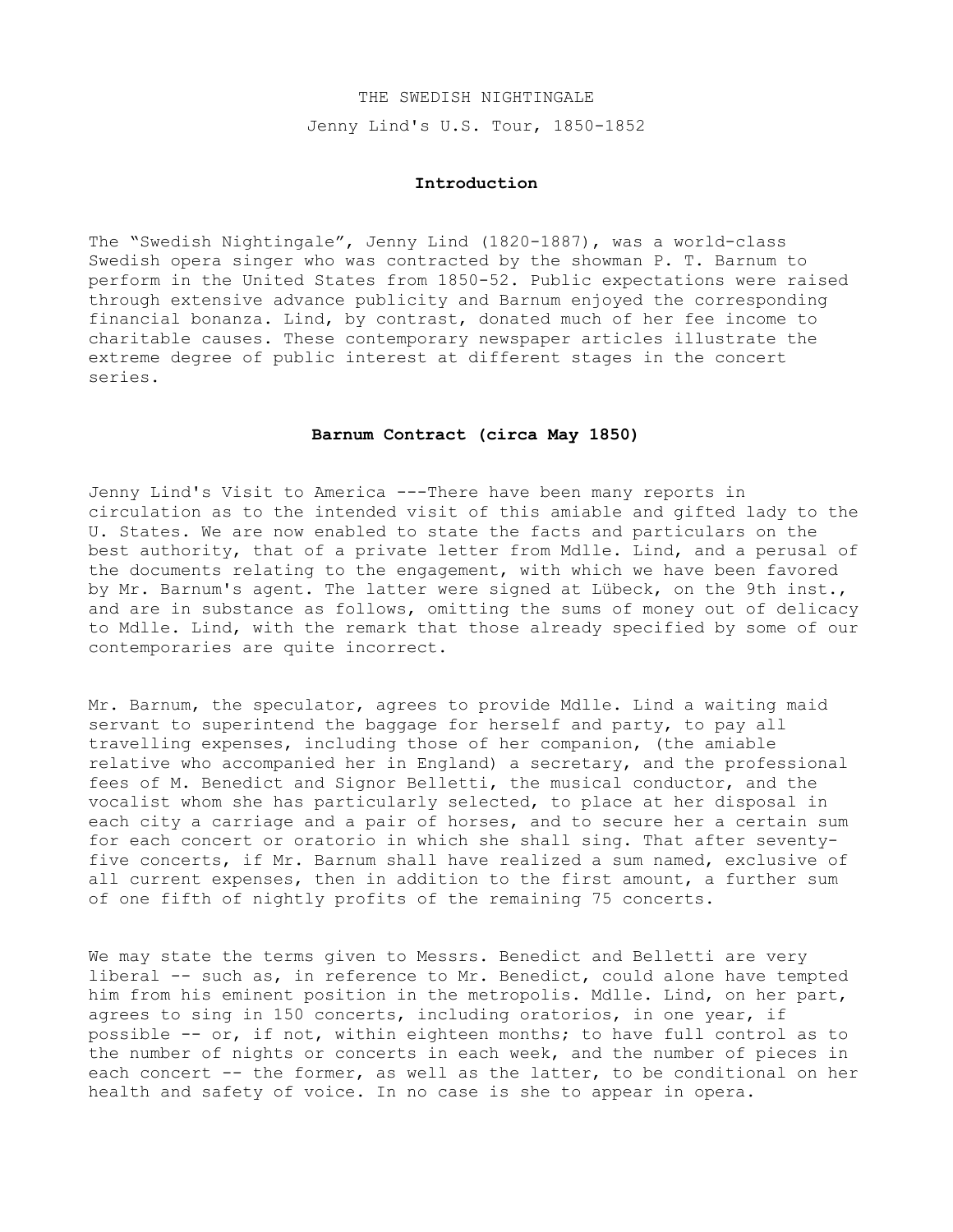### THE SWEDISH NIGHTINGALE

Jenny Lind's U.S. Tour, 1850-1852

## **Introduction**

The "Swedish Nightingale", Jenny Lind (1820-1887), was a world-class Swedish opera singer who was contracted by the showman P. T. Barnum to perform in the United States from 1850-52. Public expectations were raised through extensive advance publicity and Barnum enjoyed the corresponding financial bonanza. Lind, by contrast, donated much of her fee income to charitable causes. These contemporary newspaper articles illustrate the extreme degree of public interest at different stages in the concert series.

## **Barnum Contract (circa May 1850)**

Jenny Lind's Visit to America ---There have been many reports in circulation as to the intended visit of this amiable and gifted lady to the U. States. We are now enabled to state the facts and particulars on the best authority, that of a private letter from Mdlle. Lind, and a perusal of the documents relating to the engagement, with which we have been favored by Mr. Barnum's agent. The latter were signed at Lübeck, on the 9th inst., and are in substance as follows, omitting the sums of money out of delicacy to Mdlle. Lind, with the remark that those already specified by some of our contemporaries are quite incorrect.

Mr. Barnum, the speculator, agrees to provide Mdlle. Lind a waiting maid servant to superintend the baggage for herself and party, to pay all travelling expenses, including those of her companion, (the amiable relative who accompanied her in England) a secretary, and the professional fees of M. Benedict and Signor Belletti, the musical conductor, and the vocalist whom she has particularly selected, to place at her disposal in each city a carriage and a pair of horses, and to secure her a certain sum for each concert or oratorio in which she shall sing. That after seventyfive concerts, if Mr. Barnum shall have realized a sum named, exclusive of all current expenses, then in addition to the first amount, a further sum of one fifth of nightly profits of the remaining 75 concerts.

We may state the terms given to Messrs. Benedict and Belletti are very liberal -- such as, in reference to Mr. Benedict, could alone have tempted him from his eminent position in the metropolis. Mdlle. Lind, on her part, agrees to sing in 150 concerts, including oratorios, in one year, if possible -- or, if not, within eighteen months; to have full control as to the number of nights or concerts in each week, and the number of pieces in each concert -- the former, as well as the latter, to be conditional on her health and safety of voice. In no case is she to appear in opera.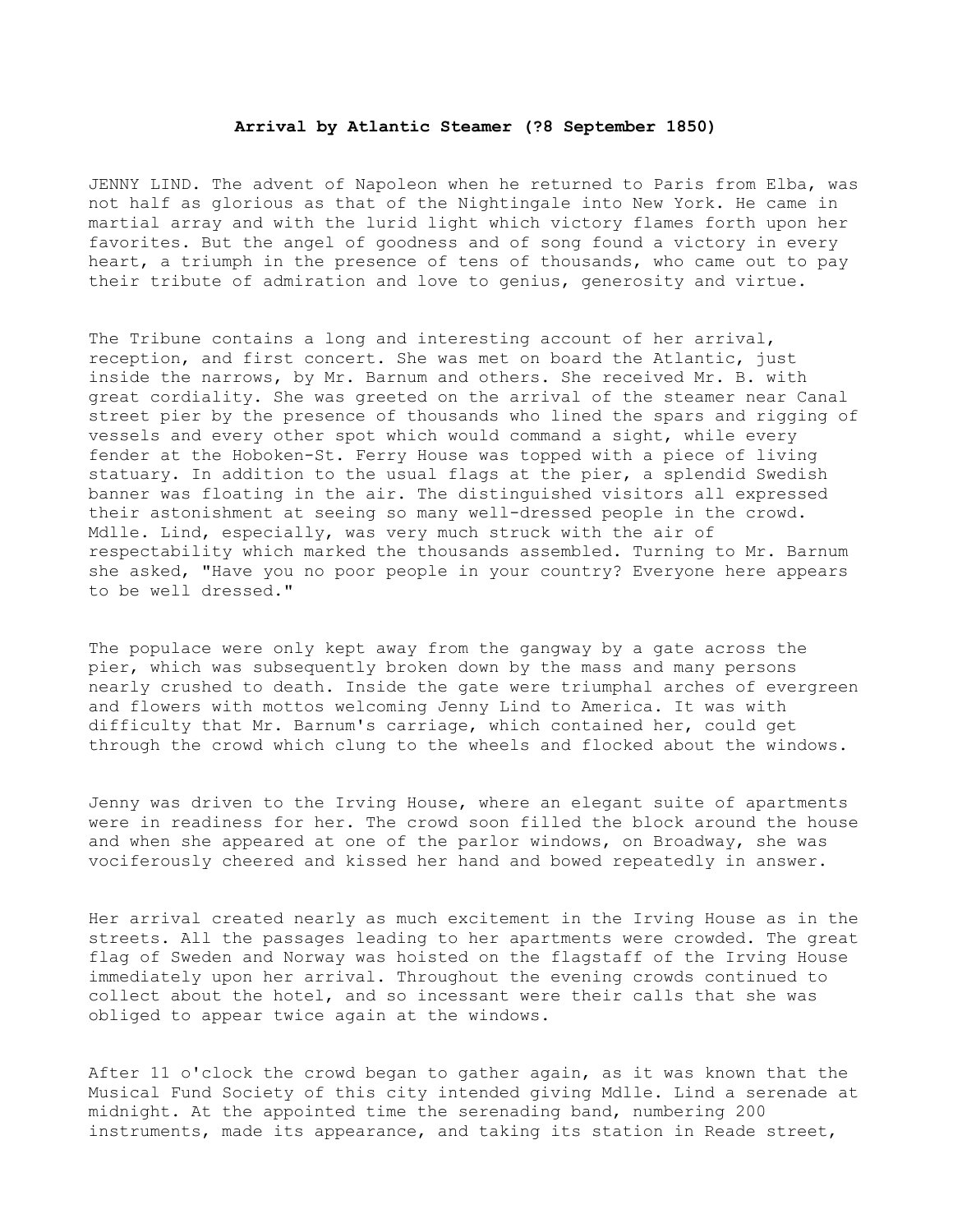# **Arrival by Atlantic Steamer (?8 September 1850)**

JENNY LIND. The advent of Napoleon when he returned to Paris from Elba, was not half as glorious as that of the Nightingale into New York. He came in martial array and with the lurid light which victory flames forth upon her favorites. But the angel of goodness and of song found a victory in every heart, a triumph in the presence of tens of thousands, who came out to pay their tribute of admiration and love to genius, generosity and virtue.

The Tribune contains a long and interesting account of her arrival, reception, and first concert. She was met on board the Atlantic, just inside the narrows, by Mr. Barnum and others. She received Mr. B. with great cordiality. She was greeted on the arrival of the steamer near Canal street pier by the presence of thousands who lined the spars and rigging of vessels and every other spot which would command a sight, while every fender at the Hoboken-St. Ferry House was topped with a piece of living statuary. In addition to the usual flags at the pier, a splendid Swedish banner was floating in the air. The distinguished visitors all expressed their astonishment at seeing so many well-dressed people in the crowd. Mdlle. Lind, especially, was very much struck with the air of respectability which marked the thousands assembled. Turning to Mr. Barnum she asked, "Have you no poor people in your country? Everyone here appears to be well dressed."

The populace were only kept away from the gangway by a gate across the pier, which was subsequently broken down by the mass and many persons nearly crushed to death. Inside the gate were triumphal arches of evergreen and flowers with mottos welcoming Jenny Lind to America. It was with difficulty that Mr. Barnum's carriage, which contained her, could get through the crowd which clung to the wheels and flocked about the windows.

Jenny was driven to the Irving House, where an elegant suite of apartments were in readiness for her. The crowd soon filled the block around the house and when she appeared at one of the parlor windows, on Broadway, she was vociferously cheered and kissed her hand and bowed repeatedly in answer.

Her arrival created nearly as much excitement in the Irving House as in the streets. All the passages leading to her apartments were crowded. The great flag of Sweden and Norway was hoisted on the flagstaff of the Irving House immediately upon her arrival. Throughout the evening crowds continued to collect about the hotel, and so incessant were their calls that she was obliged to appear twice again at the windows.

After 11 o'clock the crowd began to gather again, as it was known that the Musical Fund Society of this city intended giving Mdlle. Lind a serenade at midnight. At the appointed time the serenading band, numbering 200 instruments, made its appearance, and taking its station in Reade street,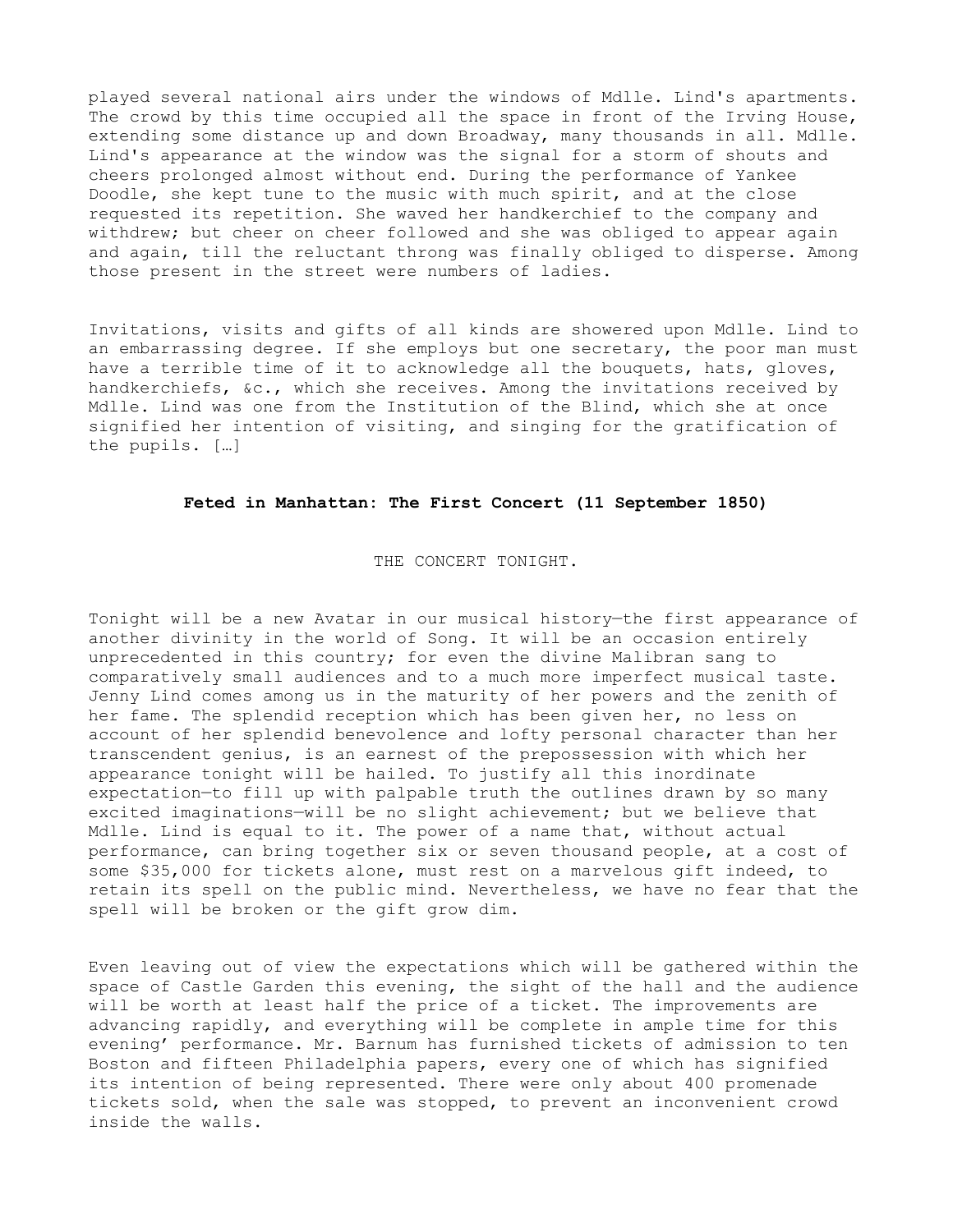played several national airs under the windows of Mdlle. Lind's apartments. The crowd by this time occupied all the space in front of the Irving House, extending some distance up and down Broadway, many thousands in all. Mdlle. Lind's appearance at the window was the signal for a storm of shouts and cheers prolonged almost without end. During the performance of Yankee Doodle, she kept tune to the music with much spirit, and at the close requested its repetition. She waved her handkerchief to the company and withdrew; but cheer on cheer followed and she was obliged to appear again and again, till the reluctant throng was finally obliged to disperse. Among those present in the street were numbers of ladies.

Invitations, visits and gifts of all kinds are showered upon Mdlle. Lind to an embarrassing degree. If she employs but one secretary, the poor man must have a terrible time of it to acknowledge all the bouquets, hats, gloves, handkerchiefs, &c., which she receives. Among the invitations received by Mdlle. Lind was one from the Institution of the Blind, which she at once signified her intention of visiting, and singing for the gratification of the pupils. […]

# **Feted in Manhattan: The First Concert (11 September 1850)**

THE CONCERT TONIGHT.

Tonight will be a new Avatar in our musical history—the first appearance of another divinity in the world of Song. It will be an occasion entirely unprecedented in this country; for even the divine Malibran sang to comparatively small audiences and to a much more imperfect musical taste. Jenny Lind comes among us in the maturity of her powers and the zenith of her fame. The splendid reception which has been given her, no less on account of her splendid benevolence and lofty personal character than her transcendent genius, is an earnest of the prepossession with which her appearance tonight will be hailed. To justify all this inordinate expectation—to fill up with palpable truth the outlines drawn by so many excited imaginations—will be no slight achievement; but we believe that Mdlle. Lind is equal to it. The power of a name that, without actual performance, can bring together six or seven thousand people, at a cost of some \$35,000 for tickets alone, must rest on a marvelous gift indeed, to retain its spell on the public mind. Nevertheless, we have no fear that the spell will be broken or the gift grow dim.

Even leaving out of view the expectations which will be gathered within the space of Castle Garden this evening, the sight of the hall and the audience will be worth at least half the price of a ticket. The improvements are advancing rapidly, and everything will be complete in ample time for this evening' performance. Mr. Barnum has furnished tickets of admission to ten Boston and fifteen Philadelphia papers, every one of which has signified its intention of being represented. There were only about 400 promenade tickets sold, when the sale was stopped, to prevent an inconvenient crowd inside the walls.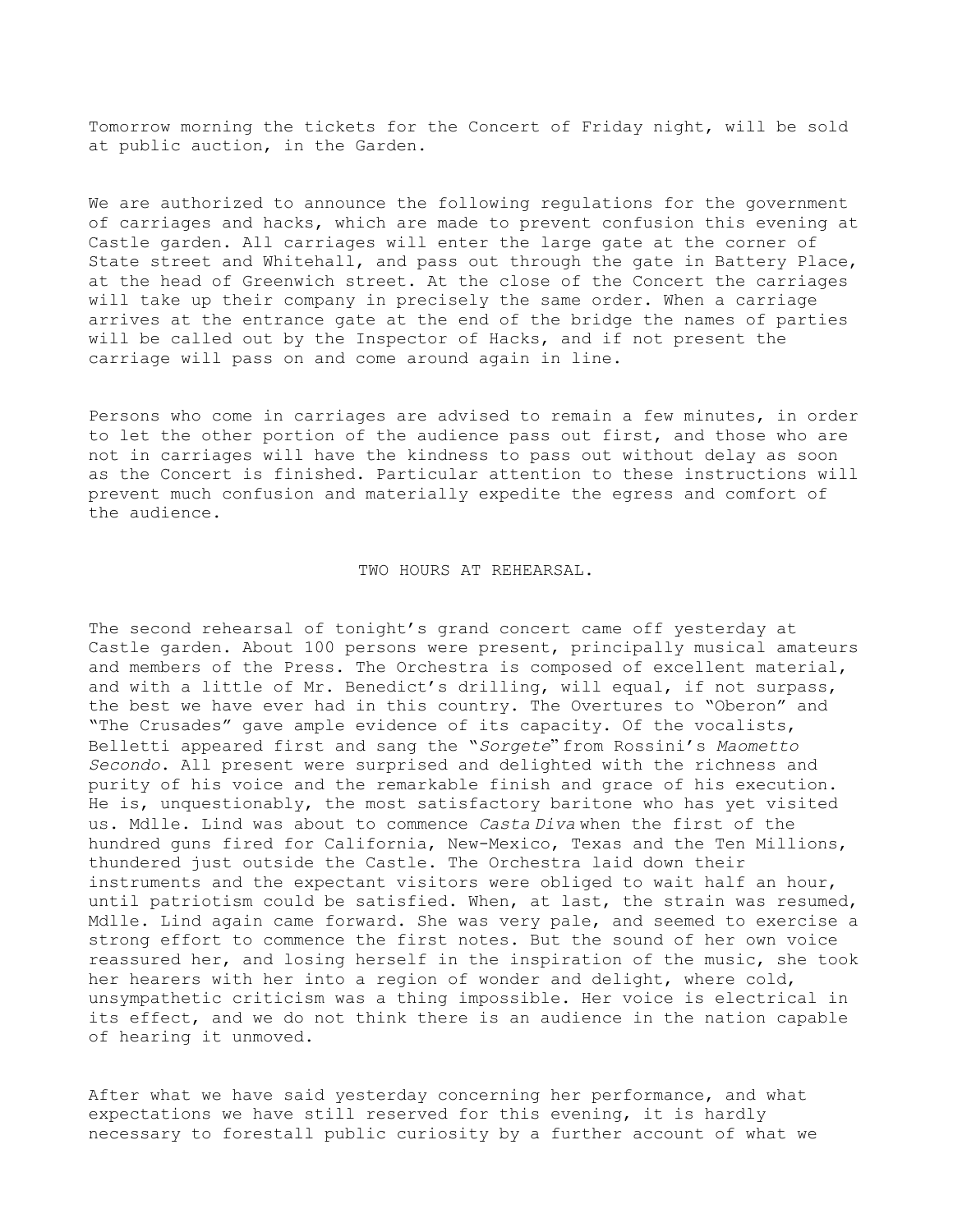Tomorrow morning the tickets for the Concert of Friday night, will be sold at public auction, in the Garden.

We are authorized to announce the following regulations for the government of carriages and hacks, which are made to prevent confusion this evening at Castle garden. All carriages will enter the large gate at the corner of State street and Whitehall, and pass out through the gate in Battery Place, at the head of Greenwich street. At the close of the Concert the carriages will take up their company in precisely the same order. When a carriage arrives at the entrance gate at the end of the bridge the names of parties will be called out by the Inspector of Hacks, and if not present the carriage will pass on and come around again in line.

Persons who come in carriages are advised to remain a few minutes, in order to let the other portion of the audience pass out first, and those who are not in carriages will have the kindness to pass out without delay as soon as the Concert is finished. Particular attention to these instructions will prevent much confusion and materially expedite the egress and comfort of the audience.

### TWO HOURS AT REHEARSAL.

The second rehearsal of tonight's grand concert came off yesterday at Castle garden. About 100 persons were present, principally musical amateurs and members of the Press. The Orchestra is composed of excellent material, and with a little of Mr. Benedict's drilling, will equal, if not surpass, the best we have ever had in this country. The Overtures to "Oberon" and "The Crusades" gave ample evidence of its capacity. Of the vocalists, Belletti appeared first and sang the "*Sorgete*" from Rossini's *Maometto Secondo*. All present were surprised and delighted with the richness and purity of his voice and the remarkable finish and grace of his execution. He is, unquestionably, the most satisfactory baritone who has yet visited us. Mdlle. Lind was about to commence *Casta Diva* when the first of the hundred guns fired for California, New-Mexico, Texas and the Ten Millions, thundered just outside the Castle. The Orchestra laid down their instruments and the expectant visitors were obliged to wait half an hour, until patriotism could be satisfied. When, at last, the strain was resumed, Mdlle. Lind again came forward. She was very pale, and seemed to exercise a strong effort to commence the first notes. But the sound of her own voice reassured her, and losing herself in the inspiration of the music, she took her hearers with her into a region of wonder and delight, where cold, unsympathetic criticism was a thing impossible. Her voice is electrical in its effect, and we do not think there is an audience in the nation capable of hearing it unmoved.

After what we have said yesterday concerning her performance, and what expectations we have still reserved for this evening, it is hardly necessary to forestall public curiosity by a further account of what we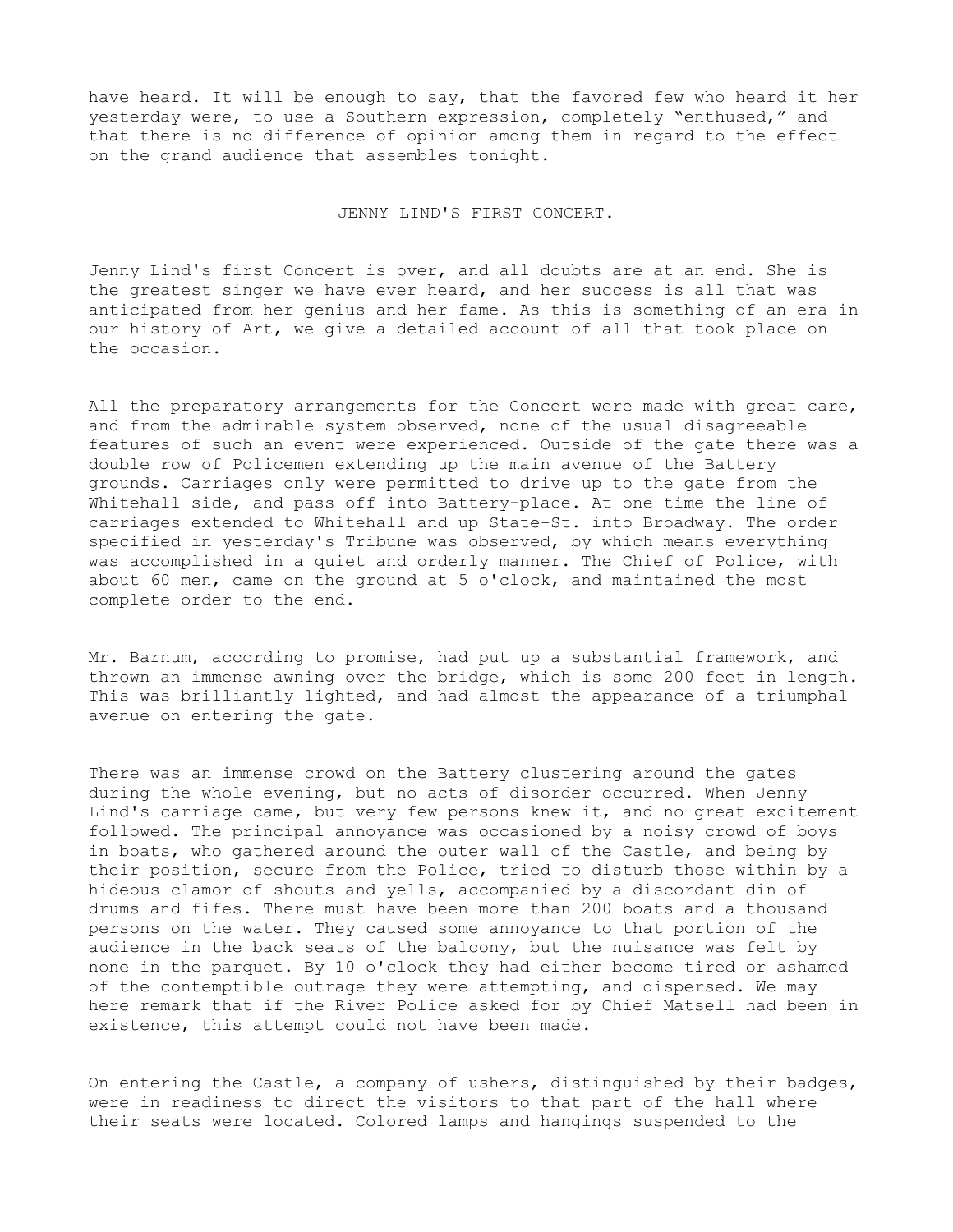have heard. It will be enough to say, that the favored few who heard it her yesterday were, to use a Southern expression, completely "enthused," and that there is no difference of opinion among them in regard to the effect on the grand audience that assembles tonight.

### JENNY LIND'S FIRST CONCERT.

Jenny Lind's first Concert is over, and all doubts are at an end. She is the greatest singer we have ever heard, and her success is all that was anticipated from her genius and her fame. As this is something of an era in our history of Art, we give a detailed account of all that took place on the occasion.

All the preparatory arrangements for the Concert were made with great care, and from the admirable system observed, none of the usual disagreeable features of such an event were experienced. Outside of the gate there was a double row of Policemen extending up the main avenue of the Battery grounds. Carriages only were permitted to drive up to the gate from the Whitehall side, and pass off into Battery-place. At one time the line of carriages extended to Whitehall and up State-St. into Broadway. The order specified in yesterday's Tribune was observed, by which means everything was accomplished in a quiet and orderly manner. The Chief of Police, with about 60 men, came on the ground at 5 o'clock, and maintained the most complete order to the end.

Mr. Barnum, according to promise, had put up a substantial framework, and thrown an immense awning over the bridge, which is some 200 feet in length. This was brilliantly lighted, and had almost the appearance of a triumphal avenue on entering the gate.

There was an immense crowd on the Battery clustering around the gates during the whole evening, but no acts of disorder occurred. When Jenny Lind's carriage came, but very few persons knew it, and no great excitement followed. The principal annoyance was occasioned by a noisy crowd of boys in boats, who gathered around the outer wall of the Castle, and being by their position, secure from the Police, tried to disturb those within by a hideous clamor of shouts and yells, accompanied by a discordant din of drums and fifes. There must have been more than 200 boats and a thousand persons on the water. They caused some annoyance to that portion of the audience in the back seats of the balcony, but the nuisance was felt by none in the parquet. By 10 o'clock they had either become tired or ashamed of the contemptible outrage they were attempting, and dispersed. We may here remark that if the River Police asked for by Chief Matsell had been in existence, this attempt could not have been made.

On entering the Castle, a company of ushers, distinguished by their badges, were in readiness to direct the visitors to that part of the hall where their seats were located. Colored lamps and hangings suspended to the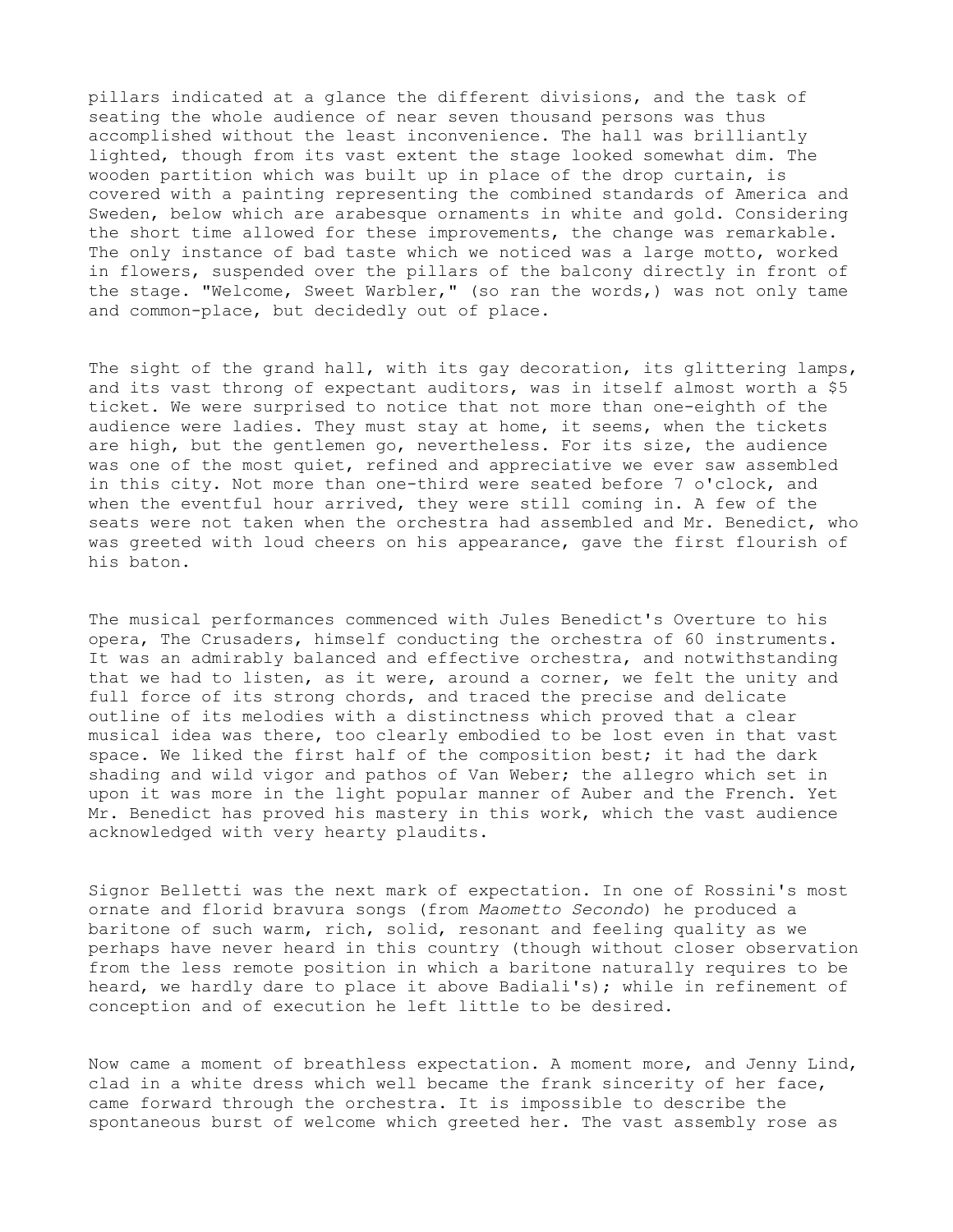pillars indicated at a glance the different divisions, and the task of seating the whole audience of near seven thousand persons was thus accomplished without the least inconvenience. The hall was brilliantly lighted, though from its vast extent the stage looked somewhat dim. The wooden partition which was built up in place of the drop curtain, is covered with a painting representing the combined standards of America and Sweden, below which are arabesque ornaments in white and gold. Considering the short time allowed for these improvements, the change was remarkable. The only instance of bad taste which we noticed was a large motto, worked in flowers, suspended over the pillars of the balcony directly in front of the stage. "Welcome, Sweet Warbler," (so ran the words,) was not only tame and common-place, but decidedly out of place.

The sight of the grand hall, with its gay decoration, its glittering lamps, and its vast throng of expectant auditors, was in itself almost worth a \$5 ticket. We were surprised to notice that not more than one-eighth of the audience were ladies. They must stay at home, it seems, when the tickets are high, but the gentlemen go, nevertheless. For its size, the audience was one of the most quiet, refined and appreciative we ever saw assembled in this city. Not more than one-third were seated before 7 o'clock, and when the eventful hour arrived, they were still coming in. A few of the seats were not taken when the orchestra had assembled and Mr. Benedict, who was greeted with loud cheers on his appearance, gave the first flourish of his baton.

The musical performances commenced with Jules Benedict's Overture to his opera, The Crusaders, himself conducting the orchestra of 60 instruments. It was an admirably balanced and effective orchestra, and notwithstanding that we had to listen, as it were, around a corner, we felt the unity and full force of its strong chords, and traced the precise and delicate outline of its melodies with a distinctness which proved that a clear musical idea was there, too clearly embodied to be lost even in that vast space. We liked the first half of the composition best; it had the dark shading and wild vigor and pathos of Van Weber; the allegro which set in upon it was more in the light popular manner of Auber and the French. Yet Mr. Benedict has proved his mastery in this work, which the vast audience acknowledged with very hearty plaudits.

Signor Belletti was the next mark of expectation. In one of Rossini's most ornate and florid bravura songs (from *Maometto Secondo*) he produced a baritone of such warm, rich, solid, resonant and feeling quality as we perhaps have never heard in this country (though without closer observation from the less remote position in which a baritone naturally requires to be heard, we hardly dare to place it above Badiali's); while in refinement of conception and of execution he left little to be desired.

Now came a moment of breathless expectation. A moment more, and Jenny Lind, clad in a white dress which well became the frank sincerity of her face, came forward through the orchestra. It is impossible to describe the spontaneous burst of welcome which greeted her. The vast assembly rose as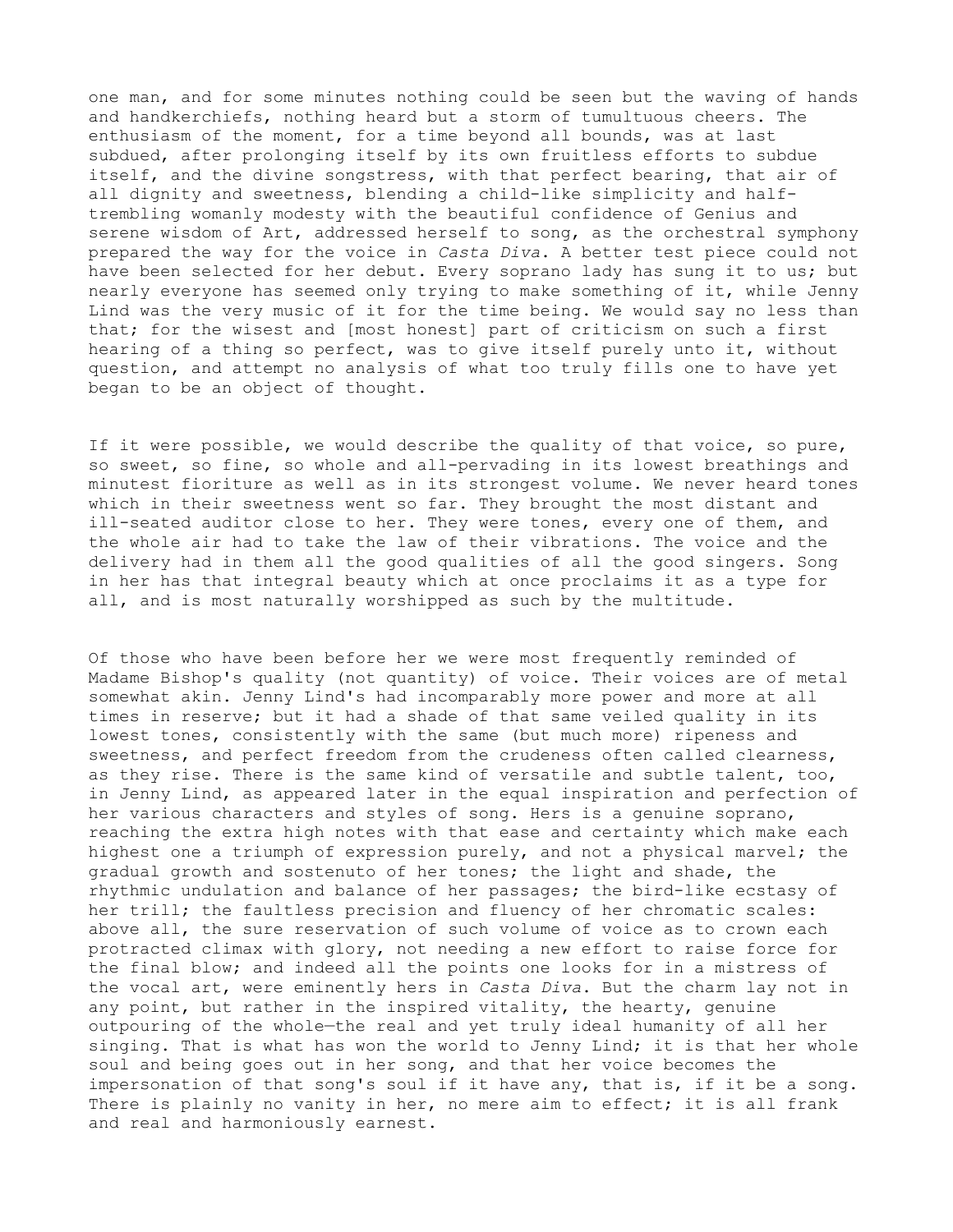one man, and for some minutes nothing could be seen but the waving of hands and handkerchiefs, nothing heard but a storm of tumultuous cheers. The enthusiasm of the moment, for a time beyond all bounds, was at last subdued, after prolonging itself by its own fruitless efforts to subdue itself, and the divine songstress, with that perfect bearing, that air of all dignity and sweetness, blending a child-like simplicity and halftrembling womanly modesty with the beautiful confidence of Genius and serene wisdom of Art, addressed herself to song, as the orchestral symphony prepared the way for the voice in *Casta Diva*. A better test piece could not have been selected for her debut. Every soprano lady has sung it to us; but nearly everyone has seemed only trying to make something of it, while Jenny Lind was the very music of it for the time being. We would say no less than that; for the wisest and [most honest] part of criticism on such a first hearing of a thing so perfect, was to give itself purely unto it, without question, and attempt no analysis of what too truly fills one to have yet began to be an object of thought.

If it were possible, we would describe the quality of that voice, so pure, so sweet, so fine, so whole and all-pervading in its lowest breathings and minutest fioriture as well as in its strongest volume. We never heard tones which in their sweetness went so far. They brought the most distant and ill-seated auditor close to her. They were tones, every one of them, and the whole air had to take the law of their vibrations. The voice and the delivery had in them all the good qualities of all the good singers. Song in her has that integral beauty which at once proclaims it as a type for all, and is most naturally worshipped as such by the multitude.

Of those who have been before her we were most frequently reminded of Madame Bishop's quality (not quantity) of voice. Their voices are of metal somewhat akin. Jenny Lind's had incomparably more power and more at all times in reserve; but it had a shade of that same veiled quality in its lowest tones, consistently with the same (but much more) ripeness and sweetness, and perfect freedom from the crudeness often called clearness, as they rise. There is the same kind of versatile and subtle talent, too, in Jenny Lind, as appeared later in the equal inspiration and perfection of her various characters and styles of song. Hers is a genuine soprano, reaching the extra high notes with that ease and certainty which make each highest one a triumph of expression purely, and not a physical marvel; the gradual growth and sostenuto of her tones; the light and shade, the rhythmic undulation and balance of her passages; the bird-like ecstasy of her trill; the faultless precision and fluency of her chromatic scales: above all, the sure reservation of such volume of voice as to crown each protracted climax with glory, not needing a new effort to raise force for the final blow; and indeed all the points one looks for in a mistress of the vocal art, were eminently hers in *Casta Diva*. But the charm lay not in any point, but rather in the inspired vitality, the hearty, genuine outpouring of the whole—the real and yet truly ideal humanity of all her singing. That is what has won the world to Jenny Lind; it is that her whole soul and being goes out in her song, and that her voice becomes the impersonation of that song's soul if it have any, that is, if it be a song. There is plainly no vanity in her, no mere aim to effect; it is all frank and real and harmoniously earnest.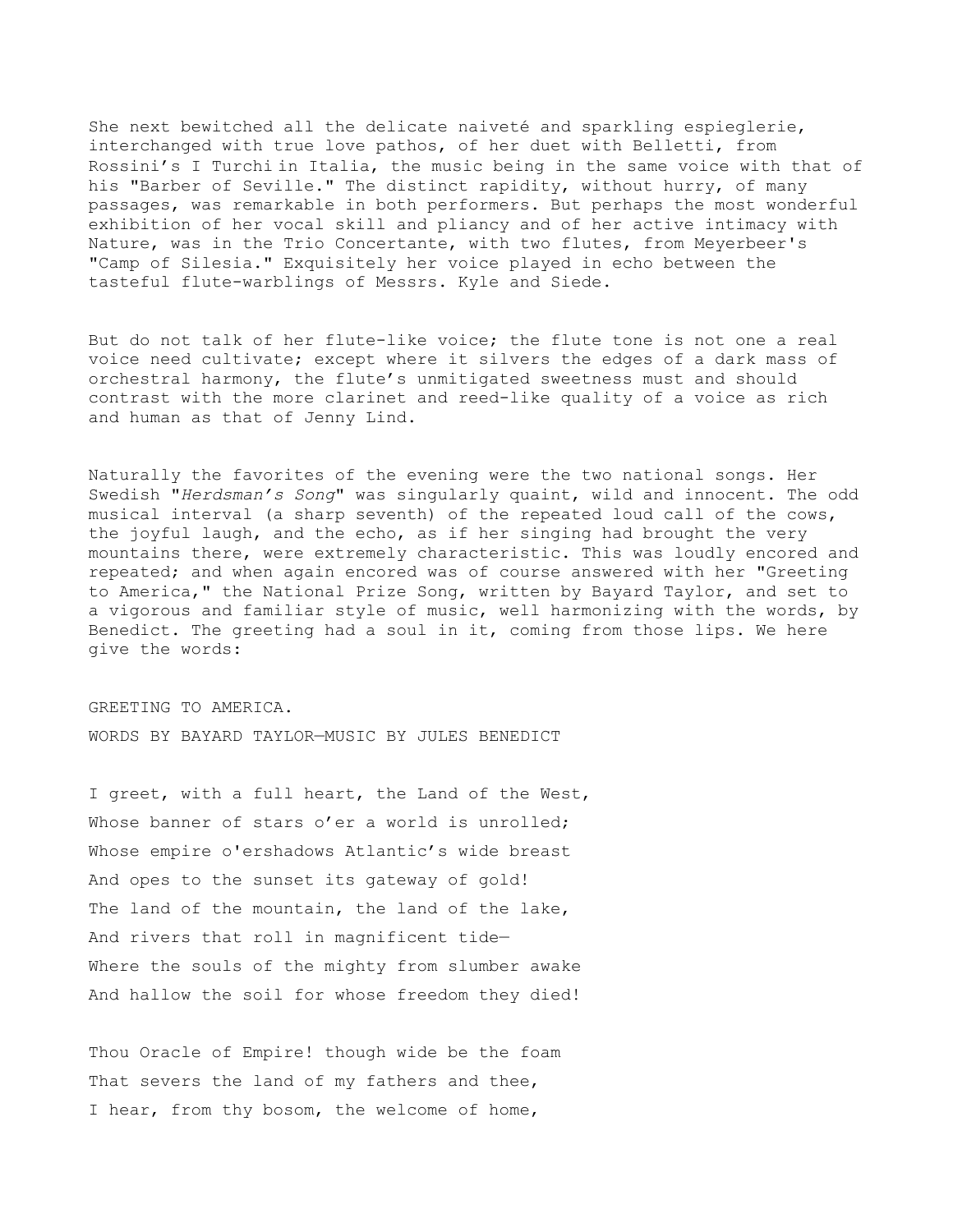She next bewitched all the delicate naiveté and sparkling espieglerie, interchanged with true love pathos, of her duet with Belletti, from Rossini's I Turchi in Italia, the music being in the same voice with that of his "Barber of Seville." The distinct rapidity, without hurry, of many passages, was remarkable in both performers. But perhaps the most wonderful exhibition of her vocal skill and pliancy and of her active intimacy with Nature, was in the Trio Concertante, with two flutes, from Meyerbeer's "Camp of Silesia." Exquisitely her voice played in echo between the tasteful flute-warblings of Messrs. Kyle and Siede.

But do not talk of her flute-like voice; the flute tone is not one a real voice need cultivate; except where it silvers the edges of a dark mass of orchestral harmony, the flute's unmitigated sweetness must and should contrast with the more clarinet and reed-like quality of a voice as rich and human as that of Jenny Lind.

Naturally the favorites of the evening were the two national songs. Her Swedish "*Herdsman's Song*" was singularly quaint, wild and innocent. The odd musical interval (a sharp seventh) of the repeated loud call of the cows, the joyful laugh, and the echo, as if her singing had brought the very mountains there, were extremely characteristic. This was loudly encored and repeated; and when again encored was of course answered with her "Greeting to America," the National Prize Song, written by Bayard Taylor, and set to a vigorous and familiar style of music, well harmonizing with the words, by Benedict. The greeting had a soul in it, coming from those lips. We here give the words:

GREETING TO AMERICA. WORDS BY BAYARD TAYLOR—MUSIC BY JULES BENEDICT

I greet, with a full heart, the Land of the West, Whose banner of stars o'er a world is unrolled; Whose empire o'ershadows Atlantic's wide breast And opes to the sunset its gateway of gold! The land of the mountain, the land of the lake, And rivers that roll in magnificent tide— Where the souls of the mighty from slumber awake And hallow the soil for whose freedom they died!

Thou Oracle of Empire! though wide be the foam That severs the land of my fathers and thee, I hear, from thy bosom, the welcome of home,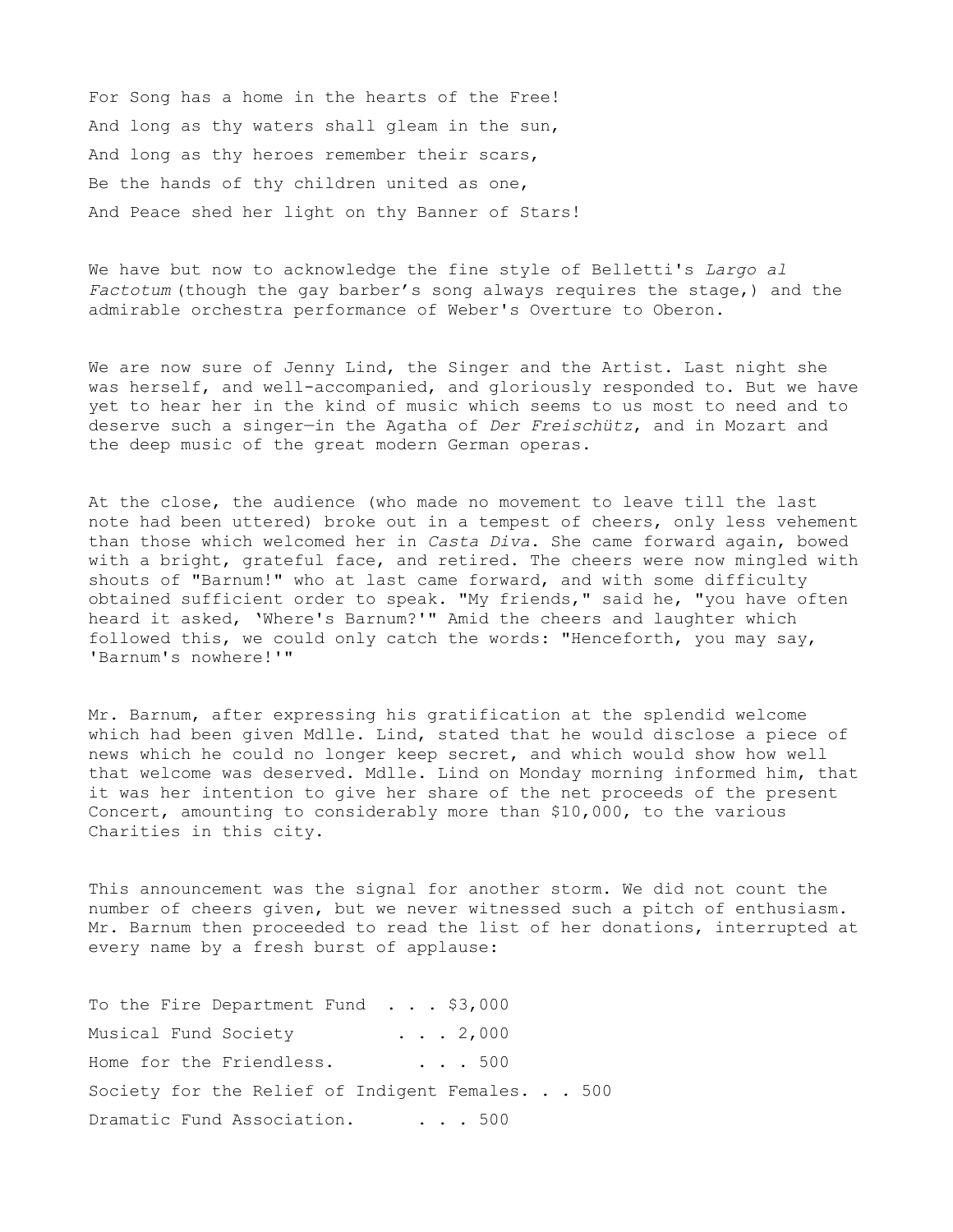For Song has a home in the hearts of the Free! And long as thy waters shall gleam in the sun, And long as thy heroes remember their scars, Be the hands of thy children united as one, And Peace shed her light on thy Banner of Stars!

We have but now to acknowledge the fine style of Belletti's *Largo al Factotum* (though the gay barber's song always requires the stage,) and the admirable orchestra performance of Weber's Overture to Oberon.

We are now sure of Jenny Lind, the Singer and the Artist. Last night she was herself, and well-accompanied, and gloriously responded to. But we have yet to hear her in the kind of music which seems to us most to need and to deserve such a singer—in the Agatha of *Der Freischütz*, and in Mozart and the deep music of the great modern German operas.

At the close, the audience (who made no movement to leave till the last note had been uttered) broke out in a tempest of cheers, only less vehement than those which welcomed her in *Casta Diva*. She came forward again, bowed with a bright, grateful face, and retired. The cheers were now mingled with shouts of "Barnum!" who at last came forward, and with some difficulty obtained sufficient order to speak. "My friends," said he, "you have often heard it asked, 'Where's Barnum?'" Amid the cheers and laughter which followed this, we could only catch the words: "Henceforth, you may say, 'Barnum's nowhere!'"

Mr. Barnum, after expressing his gratification at the splendid welcome which had been given Mdlle. Lind, stated that he would disclose a piece of news which he could no longer keep secret, and which would show how well that welcome was deserved. Mdlle. Lind on Monday morning informed him, that it was her intention to give her share of the net proceeds of the present Concert, amounting to considerably more than \$10,000, to the various Charities in this city.

This announcement was the signal for another storm. We did not count the number of cheers given, but we never witnessed such a pitch of enthusiasm. Mr. Barnum then proceeded to read the list of her donations, interrupted at every name by a fresh burst of applause:

To the Fire Department Fund . . . \$3,000 Musical Fund Society . . . 2,000 Home for the Friendless. . . . 500 Society for the Relief of Indigent Females. . . 500 Dramatic Fund Association. . . . 500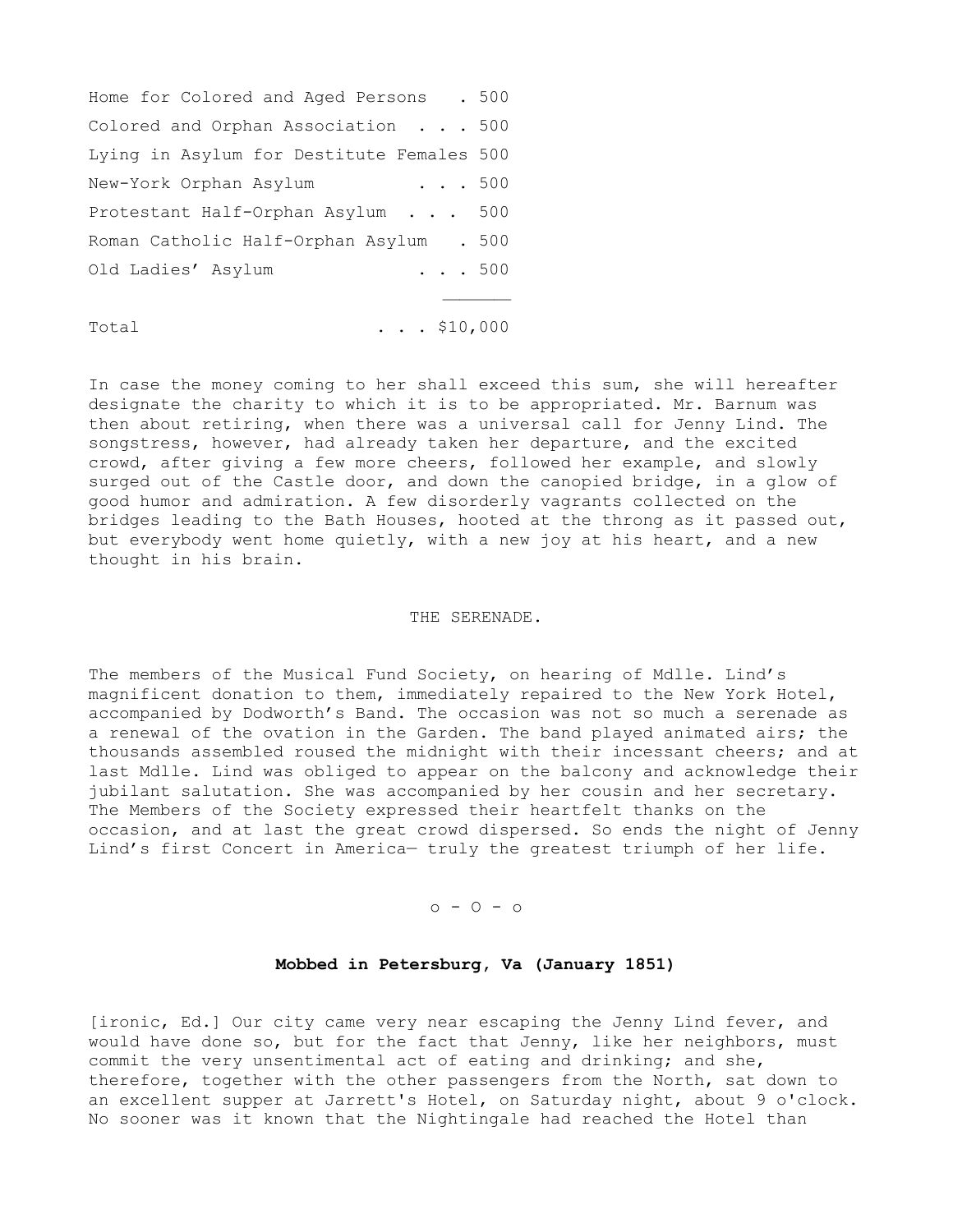Home for Colored and Aged Persons . 500 Colored and Orphan Association . . . 500 Lying in Asylum for Destitute Females 500 New-York Orphan Asylum . . . 500 Protestant Half-Orphan Asylum . . . 500 Roman Catholic Half-Orphan Asylum . 500 Old Ladies' Asylum . . . 500 and the contract of the contract of the contract of the contract of the contract of

Total . . . \$10,000

In case the money coming to her shall exceed this sum, she will hereafter designate the charity to which it is to be appropriated. Mr. Barnum was then about retiring, when there was a universal call for Jenny Lind. The songstress, however, had already taken her departure, and the excited crowd, after giving a few more cheers, followed her example, and slowly surged out of the Castle door, and down the canopied bridge, in a glow of good humor and admiration. A few disorderly vagrants collected on the bridges leading to the Bath Houses, hooted at the throng as it passed out, but everybody went home quietly, with a new joy at his heart, and a new thought in his brain.

# THE SERENADE.

The members of the Musical Fund Society, on hearing of Mdlle. Lind's magnificent donation to them, immediately repaired to the New York Hotel, accompanied by Dodworth's Band. The occasion was not so much a serenade as a renewal of the ovation in the Garden. The band played animated airs; the thousands assembled roused the midnight with their incessant cheers; and at last Mdlle. Lind was obliged to appear on the balcony and acknowledge their jubilant salutation. She was accompanied by her cousin and her secretary. The Members of the Society expressed their heartfelt thanks on the occasion, and at last the great crowd dispersed. So ends the night of Jenny Lind's first Concert in America— truly the greatest triumph of her life.

o - O - o

### **Mobbed in Petersburg, Va (January 1851)**

[ironic, Ed.] Our city came very near escaping the Jenny Lind fever, and would have done so, but for the fact that Jenny, like her neighbors, must commit the very unsentimental act of eating and drinking; and she, therefore, together with the other passengers from the North, sat down to an excellent supper at Jarrett's Hotel, on Saturday night, about 9 o'clock. No sooner was it known that the Nightingale had reached the Hotel than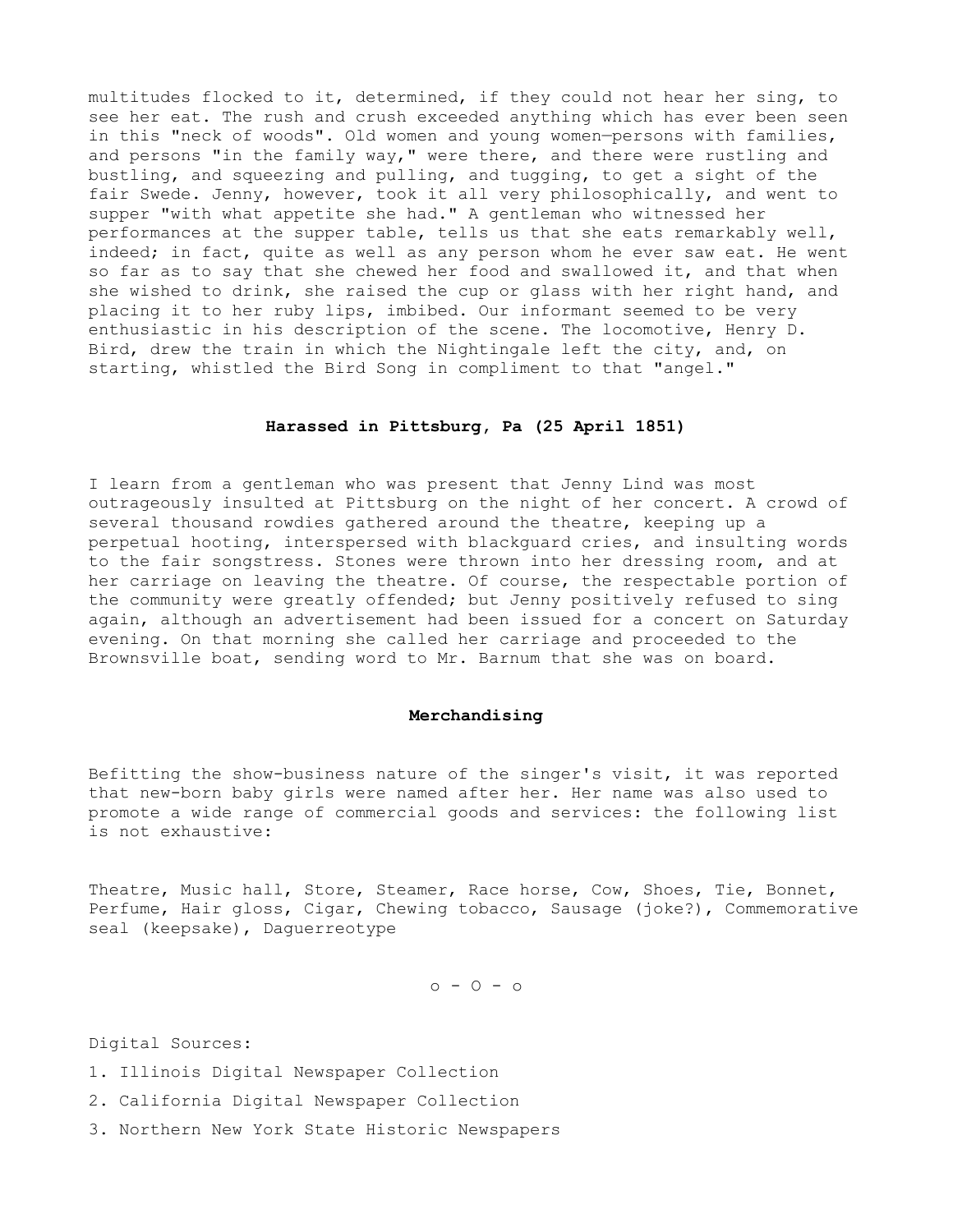multitudes flocked to it, determined, if they could not hear her sing, to see her eat. The rush and crush exceeded anything which has ever been seen in this "neck of woods". Old women and young women—persons with families, and persons "in the family way," were there, and there were rustling and bustling, and squeezing and pulling, and tugging, to get a sight of the fair Swede. Jenny, however, took it all very philosophically, and went to supper "with what appetite she had." A gentleman who witnessed her performances at the supper table, tells us that she eats remarkably well, indeed; in fact, quite as well as any person whom he ever saw eat. He went so far as to say that she chewed her food and swallowed it, and that when she wished to drink, she raised the cup or glass with her right hand, and placing it to her ruby lips, imbibed. Our informant seemed to be very enthusiastic in his description of the scene. The locomotive, Henry D. Bird, drew the train in which the Nightingale left the city, and, on starting, whistled the Bird Song in compliment to that "angel."

# **Harassed in Pittsburg, Pa (25 April 1851)**

I learn from a gentleman who was present that Jenny Lind was most outrageously insulted at Pittsburg on the night of her concert. A crowd of several thousand rowdies gathered around the theatre, keeping up a perpetual hooting, interspersed with blackguard cries, and insulting words to the fair songstress. Stones were thrown into her dressing room, and at her carriage on leaving the theatre. Of course, the respectable portion of the community were greatly offended; but Jenny positively refused to sing again, although an advertisement had been issued for a concert on Saturday evening. On that morning she called her carriage and proceeded to the Brownsville boat, sending word to Mr. Barnum that she was on board.

### **Merchandising**

Befitting the show-business nature of the singer's visit, it was reported that new-born baby girls were named after her. Her name was also used to promote a wide range of commercial goods and services: the following list is not exhaustive:

Theatre, Music hall, Store, Steamer, Race horse, Cow, Shoes, Tie, Bonnet, Perfume, Hair gloss, Cigar, Chewing tobacco, Sausage (joke?), Commemorative seal (keepsake), Daguerreotype

 $0 - 0 - 0$ 

Digital Sources:

- 1. Illinois Digital Newspaper Collection
- 2. California Digital Newspaper Collection
- 3. Northern New York State Historic Newspapers